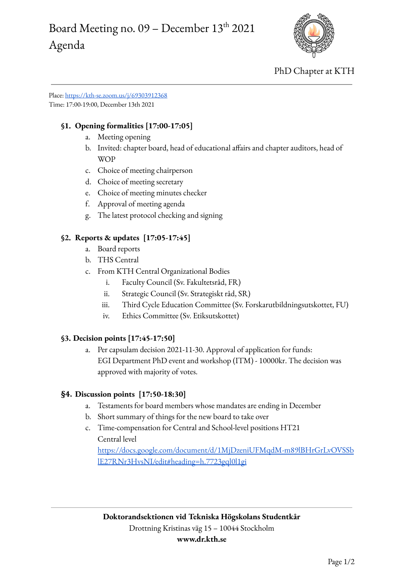# Board Meeting no.  $09$  – December  $13^{\text{th}}$  2021 Agenda



PhD Chapter at KTH

Place: <https://kth-se.zoom.us/j/69303912368> Time: 17:00-19:00, December 13th 2021

## **§1. Opening formalities [17:00-17:05]**

- a. Meeting opening
- b. Invited: chapter board, head of educational affairs and chapter auditors, head of WOP
- c. Choice of meeting chairperson
- d. Choice of meeting secretary
- e. Choice of meeting minutes checker
- f. Approval of meeting agenda
- g. The latest protocol checking and signing

### **§2. Reports & updates [17:05-17:45]**

- a. Board reports
- b. THS Central
- c. From KTH Central Organizational Bodies
	- i. Faculty Council (Sv. Fakultetsråd, FR)
	- ii. Strategic Council (Sv. Strategiskt råd, SR)
	- iii. Third Cycle Education Committee (Sv. Forskarutbildningsutskottet, FU)
	- iv. Ethics Committee (Sv. Etiksutskottet)

#### **§3. Decision points [17:45-17:50]**

a. Per capsulam decision 2021-11-30. Approval of application for funds: EGI Department PhD event and workshop (ITM) - 10000kr. The decision was approved with majority of votes.

#### **§4. Discussion points [17:50-18:30]**

- a. Testaments for board members whose mandates are ending in December
- b. Short summary of things for the new board to take over
- c. Time-compensation for Central and School-level positions HT21 Central level

[https://docs.google.com/document/d/1MjDzeniUFMqdM-m89lBHrGrLvOVSSb](https://docs.google.com/document/d/1MjDzeniUFMqdM-m89lBHrGrLvOVSSblE27RNr3HvsNI/edit#heading=h.7723gql0l1gi) [lE27RNr3HvsNI/edit#heading=h.7723gql0l1gi](https://docs.google.com/document/d/1MjDzeniUFMqdM-m89lBHrGrLvOVSSblE27RNr3HvsNI/edit#heading=h.7723gql0l1gi)